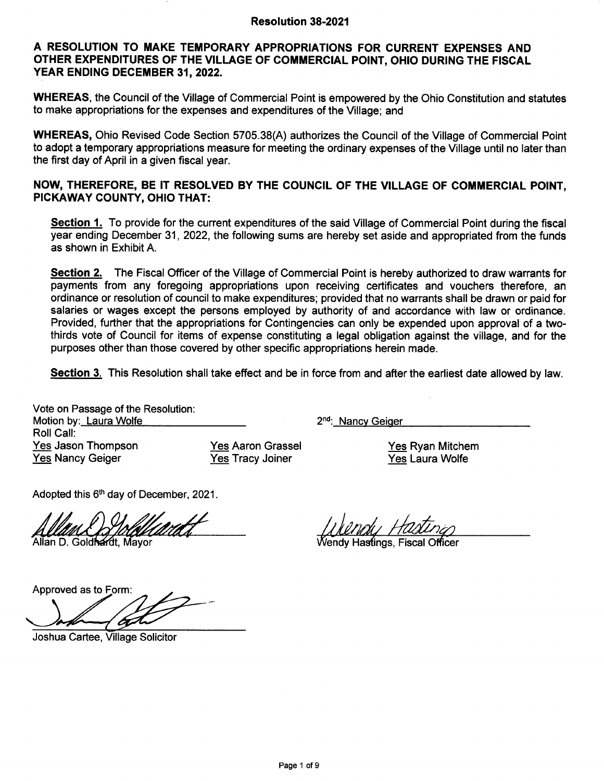#### A RESOLUTION TO MAKE TEMPORARY APPROPRIATIONS FOR CURRENT EXPENSES AND OTHER EXPENDITURES OF THE VILLAGE OF COMMERCIAL POINT, OHIO DURING THE FISCAL YEAR ENDING DECEMBER 31, 2022.

WHEREAS, the Council of the Village of Commercial Point is empowered by the Ohio Constitution and statutes to make appropriations for the expenses and expenditures of the Village; and

WHEREAS, Ohio Revised Code Section 5705.38(A) authorizes the Council of the Village of Commercial Point to adopt a temporary appropriations measure for meeting the ordinary expenses of the Village until no later than the first day of April in a given fiscal year.

### NOW, THEREFORE, BE IT RESOLVED BY THE GOUNCIL OF THE VILLAGE OF COMMERCIAL POINT, PICKAWAY COUNTY, OHIO THAT:

Section 1. To provide for the current expenditures of the said Village of Commercial Point during the fiscal year ending December 31, 2022, the following sums are hereby set aside and appropriated from the funds as shown in Exhibit A.

Section 2. The Fiscal Officer of the Village of Commercial Point is hereby authorized to draw warrants for payments from any foregoing appropriations upon receiving certificates and vouchers therefore, an ordinance or resolution of council to make expenditures; provided that no warrants shall be drawn or paid for salaries or wages except the persons employed by authority of and accordance with law or ordinance. Provided, further that the appropriations for Contingencies can only be expended upon approval of a twothirds vote of Council for items of expense constituting a legal obligation against the village, and for the purposes other than those covered by other specific appropriations herein made.

Section 3. This Resolution shall take effect and be in force from and after the earliest date allowed by law.

Vote on Passage of the Resolution Motion by : Laura Wolfe <sup>2</sup> Roll Call: Yes Jason Thompson Yes Nancy Geiger

Yes Aaron Grassel Yes Tracy Joiner

2<sup>nd</sup>: Nancy Geiger

Yes Ryan Mitchem Yes Laura Wolfe

Adopted this 6<sup>th</sup> day of December, 2021.

Allan D. Goldhardt. Mavor

in 1999 / 1999 / 1999 / 1999 / 1999 / 1999 / 1999 / 1999 / 1999 / 1999 / 1999 / 1999 / 1999 / 1999 / 1999 / 19<br>Wendy Hastings, Fiscal Officer

Approved as to

Joshua Cartee, Village Solicitor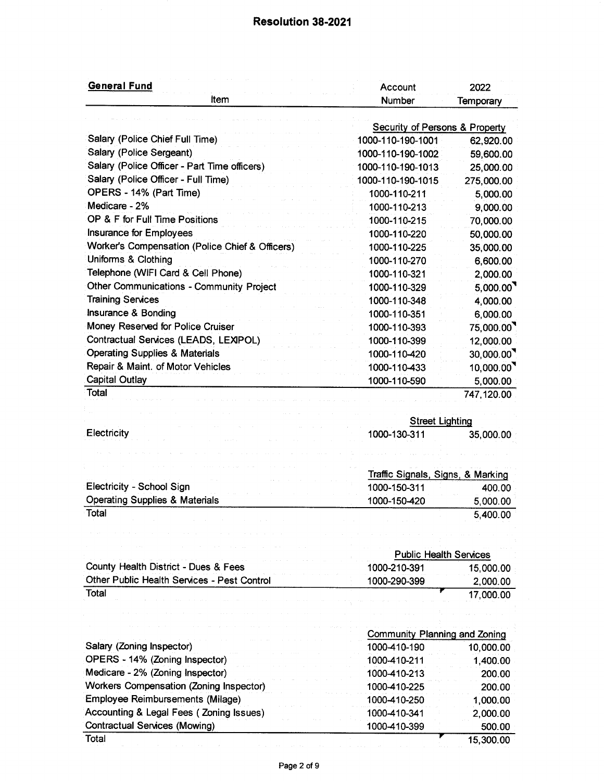# Resolution 38-2021

| <b>General Fund</b>                             | Account                                   | 2022       |
|-------------------------------------------------|-------------------------------------------|------------|
| Item                                            | <b>Number</b>                             | Temporary  |
|                                                 | <b>Security of Persons &amp; Property</b> |            |
| Salary (Police Chief Full Time)                 | 1000-110-190-1001                         | 62,920.00  |
| Salary (Police Sergeant)                        | 1000-110-190-1002                         | 59,600.00  |
| Salary (Police Officer - Part Time officers)    | 1000-110-190-1013                         | 25,000.00  |
| Salary (Police Officer - Full Time)             | 1000-110-190-1015                         | 275,000.00 |
| OPERS - 14% (Part Time)                         | 1000-110-211                              | 5,000.00   |
| Medicare - 2%                                   | 1000-110-213                              | 9,000.00   |
| OP & F for Full Time Positions                  | 1000-110-215                              | 70,000.00  |
| Insurance for Employees                         | 1000-110-220                              | 50,000.00  |
| Worker's Compensation (Police Chief & Officers) | 1000-110-225                              | 35,000.00  |
| Uniforms & Clothing                             | 1000-110-270                              | 6,600.00   |
| Telephone (WIFI Card & Cell Phone)              | 1000-110-321                              | 2,000.00   |
| <b>Other Communications - Community Project</b> | 1000-110-329                              | 5,000.00   |
| <b>Training Services</b>                        | 1000-110-348                              | 4,000.00   |
| Insurance & Bonding                             | 1000-110-351                              | 6,000.00   |
| Money Reserved for Police Cruiser               | 1000-110-393                              | 75,000.00  |
| Contractual Services (LEADS, LEXIPOL)           | 1000-110-399                              | 12,000.00  |
| <b>Operating Supplies &amp; Materials</b>       | 1000-110-420                              | 30,000.00  |
| Repair & Maint. of Motor Vehicles               | 1000-110-433                              | 10,000.00  |
| <b>Capital Outlay</b>                           | 1000-110-590                              | 5,000.00   |
| Total                                           |                                           | 747,120.00 |
|                                                 |                                           |            |
|                                                 | <b>Street Lighting</b>                    |            |
| Electricity                                     | 1000-130-311                              | 35,000.00  |
|                                                 |                                           |            |
|                                                 | Traffic Signals, Signs, & Marking         |            |
| Electricity - School Sign                       | 1000-150-311                              | 400.00     |
| <b>Operating Supplies &amp; Materials</b>       | 1000-150-420                              | 5,000.00   |
| Total                                           |                                           | 5,400.00   |
|                                                 |                                           |            |
|                                                 |                                           |            |
|                                                 | <b>Public Health Services</b>             |            |
| County Health District - Dues & Fees            | 1000-210-391                              | 15,000.00  |
| Other Public Health Services - Pest Control     | 1000-290-399                              | 2,000.00   |
| Total                                           |                                           | 17,000.00  |
|                                                 |                                           |            |
|                                                 | Community Planning and Zoning             |            |
| Salary (Zoning Inspector)                       | 1000-410-190                              | 10,000.00  |
| OPERS - 14% (Zoning Inspector)                  | 1000-410-211                              | 1,400.00   |
| Medicare - 2% (Zoning Inspector)                | 1000-410-213                              | 200.00     |
| Workers Compensation (Zoning Inspector)         | 1000-410-225                              | 200.00     |
| Employee Reimbursements (Milage)                | 1000-410-250                              | 1,000.00   |
| Accounting & Legal Fees (Zoning Issues)         | 1000-410-341                              | 2,000.00   |
| <b>Contractual Services (Mowing)</b>            | 1000-410-399                              | 500.00     |
| Total                                           |                                           | 15,300.00  |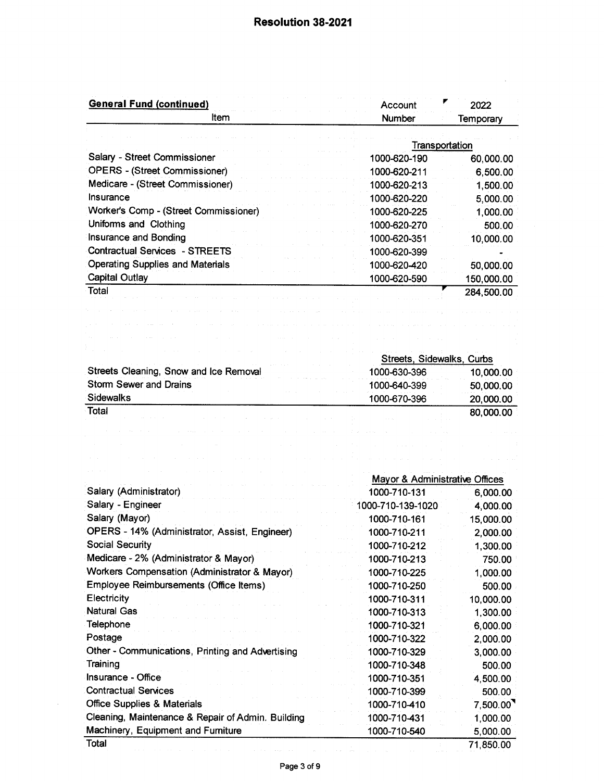$\bar{z}$ 

| <b>General Fund (continued)</b><br>Item                                                                                                                                                                                                                                                              | Account<br>Number              | 2022                                                                                     |
|------------------------------------------------------------------------------------------------------------------------------------------------------------------------------------------------------------------------------------------------------------------------------------------------------|--------------------------------|------------------------------------------------------------------------------------------|
|                                                                                                                                                                                                                                                                                                      |                                | Temporary                                                                                |
|                                                                                                                                                                                                                                                                                                      | Transportation                 |                                                                                          |
| Salary - Street Commissioner                                                                                                                                                                                                                                                                         | 1000-620-190                   | 60,000.00                                                                                |
| <b>OPERS - (Street Commissioner)</b>                                                                                                                                                                                                                                                                 | 1000-620-211                   | 6,500.00                                                                                 |
| Medicare - (Street Commissioner)                                                                                                                                                                                                                                                                     | 1000-620-213                   | 1,500.00                                                                                 |
| <b>Insurance</b>                                                                                                                                                                                                                                                                                     | 1000-620-220                   | 5,000.00                                                                                 |
| Worker's Comp - (Street Commissioner)                                                                                                                                                                                                                                                                | 1000-620-225                   | 1,000.00                                                                                 |
| Uniforms and Clothing                                                                                                                                                                                                                                                                                | 1000-620-270                   | 500.00                                                                                   |
| Insurance and Bonding                                                                                                                                                                                                                                                                                | 1000-620-351                   | 10,000.00                                                                                |
| <b>Contractual Services - STREETS</b>                                                                                                                                                                                                                                                                | 1000-620-399                   |                                                                                          |
| <b>Operating Supplies and Materials</b>                                                                                                                                                                                                                                                              | 1000-620-420                   | 50,000.00                                                                                |
| <b>Capital Outlay</b>                                                                                                                                                                                                                                                                                | 1000-620-590                   | 150,000.00                                                                               |
| Total                                                                                                                                                                                                                                                                                                |                                | 284,500.00                                                                               |
|                                                                                                                                                                                                                                                                                                      |                                |                                                                                          |
|                                                                                                                                                                                                                                                                                                      |                                |                                                                                          |
|                                                                                                                                                                                                                                                                                                      |                                |                                                                                          |
|                                                                                                                                                                                                                                                                                                      |                                |                                                                                          |
|                                                                                                                                                                                                                                                                                                      | Streets, Sidewalks, Curbs      |                                                                                          |
| Streets Cleaning, Snow and Ice Removal                                                                                                                                                                                                                                                               | 1000-630-396                   | 10,000.00                                                                                |
| <b>Storm Sewer and Drains</b>                                                                                                                                                                                                                                                                        | 1000-640-399                   | 50,000.00                                                                                |
|                                                                                                                                                                                                                                                                                                      |                                |                                                                                          |
|                                                                                                                                                                                                                                                                                                      | 1000-670-396                   |                                                                                          |
| <b>Sidewalks</b><br>Total                                                                                                                                                                                                                                                                            |                                | 20,000.00<br>80,000.00                                                                   |
|                                                                                                                                                                                                                                                                                                      |                                |                                                                                          |
|                                                                                                                                                                                                                                                                                                      | Mayor & Administrative Offices |                                                                                          |
| Salary (Administrator)                                                                                                                                                                                                                                                                               | 1000-710-131                   |                                                                                          |
|                                                                                                                                                                                                                                                                                                      | 1000-710-139-1020              |                                                                                          |
|                                                                                                                                                                                                                                                                                                      | 1000-710-161                   |                                                                                          |
|                                                                                                                                                                                                                                                                                                      | 1000-710-211                   |                                                                                          |
|                                                                                                                                                                                                                                                                                                      | 1000-710-212                   |                                                                                          |
| Salary - Engineer<br>Salary (Mayor)<br>OPERS - 14% (Administrator, Assist, Engineer)<br><b>Social Security</b><br>Medicare - 2% (Administrator & Mayor)                                                                                                                                              | 1000-710-213                   |                                                                                          |
| Workers Compensation (Administrator & Mayor)                                                                                                                                                                                                                                                         | 1000-710-225                   | 6,000.00<br>4,000.00<br>15,000.00<br>2,000.00<br>1,300.00<br>750.00<br>1,000.00          |
| Employee Reimbursements (Office Items)                                                                                                                                                                                                                                                               | 1000-710-250                   | 500.00                                                                                   |
| Electricity                                                                                                                                                                                                                                                                                          | 1000-710-311                   | 10,000.00                                                                                |
|                                                                                                                                                                                                                                                                                                      | 1000-710-313                   |                                                                                          |
|                                                                                                                                                                                                                                                                                                      | 1000-710-321                   | 1,300.00<br>6,000.00                                                                     |
|                                                                                                                                                                                                                                                                                                      | 1000-710-322                   |                                                                                          |
|                                                                                                                                                                                                                                                                                                      | 1000-710-329                   |                                                                                          |
|                                                                                                                                                                                                                                                                                                      | 1000-710-348                   |                                                                                          |
|                                                                                                                                                                                                                                                                                                      | 1000-710-351                   |                                                                                          |
|                                                                                                                                                                                                                                                                                                      | 1000-710-399                   |                                                                                          |
|                                                                                                                                                                                                                                                                                                      | 1000-710-410                   |                                                                                          |
| <b>Natural Gas</b><br>Telephone<br>Postage<br>Other - Communications, Printing and Advertising<br>Training<br>Insurance - Office<br><b>Contractual Services</b><br><b>Office Supplies &amp; Materials</b><br>Cleaning, Maintenance & Repair of Admin. Building<br>Machinery, Equipment and Furniture | 1000-710-431<br>1000-710-540   | 2,000.00<br>3,000.00<br>500.00<br>4,500.00<br>500.00<br>7,500.00<br>1,000.00<br>5,000.00 |

 $\bar{\beta}$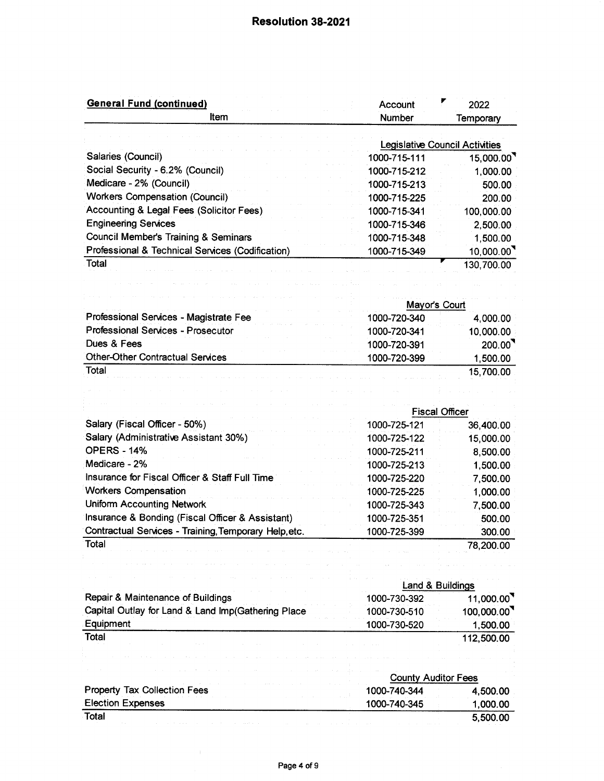| <b>General Fund (continued)</b>                       | Account                               | 2022                                              |
|-------------------------------------------------------|---------------------------------------|---------------------------------------------------|
| ltem                                                  | Number                                | <b>Temporary</b>                                  |
|                                                       | <b>Legislative Council Activities</b> |                                                   |
| Salaries (Council)                                    | 1000-715-111                          | 15,000.00                                         |
| Social Security - 6.2% (Council)                      | 1000-715-212                          | 1,000.00                                          |
| Medicare - 2% (Council)                               | 1000-715-213                          | 500.00                                            |
| <b>Workers Compensation (Council)</b>                 | 1000-715-225                          | 200.00                                            |
| Accounting & Legal Fees (Solicitor Fees)              | 1000-715-341                          | 100,000.00                                        |
| <b>Engineering Services</b>                           | 1000-715-346                          | 2,500.00                                          |
| <b>Council Member's Training &amp; Seminars</b>       | 1000-715-348                          | 1,500.00                                          |
| Professional & Technical Services (Codification)      | 1000-715-349                          | 10,000.00                                         |
| Total                                                 |                                       | 130,700.00                                        |
|                                                       |                                       |                                                   |
|                                                       | Mayor's Court                         |                                                   |
| Professional Services - Magistrate Fee                | 1000-720-340                          | 4,000.00                                          |
| Professional Services - Prosecutor                    | 1000-720-341                          | 10,000.00                                         |
| Dues & Fees                                           | 1000-720-391                          | $200.00$ <sup>9</sup>                             |
| <b>Other-Other Contractual Services</b>               | 1000-720-399                          | 1,500.00                                          |
| Total                                                 |                                       | 15,700.00                                         |
| Salary (Fiscal Officer - 50%)                         | <b>Fiscal Officer</b><br>1000-725-121 | 36,400.00                                         |
| Salary (Administrative Assistant 30%)                 | 1000-725-122                          | 15,000.00                                         |
| <b>OPERS - 14%</b>                                    | 1000-725-211                          | 8,500.00                                          |
| Medicare - 2%                                         | 1000-725-213                          | 1,500.00                                          |
| Insurance for Fiscal Officer & Staff Full Time        | 1000-725-220                          | 7,500.00                                          |
| <b>Workers Compensation</b>                           | 1000-725-225                          | 1,000.00                                          |
| <b>Uniform Accounting Network</b>                     | 1000-725-343                          | 7,500.00                                          |
| Insurance & Bonding (Fiscal Officer & Assistant)      | 1000-725-351                          | 500.00                                            |
| Contractual Services - Training, Temporary Help, etc. | 1000-725-399                          | 300.00                                            |
| Total                                                 |                                       | 78,200.00                                         |
|                                                       |                                       |                                                   |
|                                                       | Land & Buildings                      |                                                   |
| Repair & Maintenance of Buildings                     |                                       |                                                   |
| Capital Outlay for Land & Land Imp(Gathering Place    |                                       |                                                   |
|                                                       | 1000-730-392                          |                                                   |
|                                                       | 1000-730-510                          |                                                   |
| Equipment<br>Total                                    | 1000-730-520                          | 11,000.00<br>100,000.00<br>1,500.00<br>112,500.00 |
|                                                       |                                       |                                                   |
|                                                       | <b>County Auditor Fees</b>            |                                                   |
| <b>Property Tax Collection Fees</b>                   | 1000-740-344                          | 4,500.00                                          |
| <b>Election Expenses</b>                              | 1000-740-345                          | 1,000.00                                          |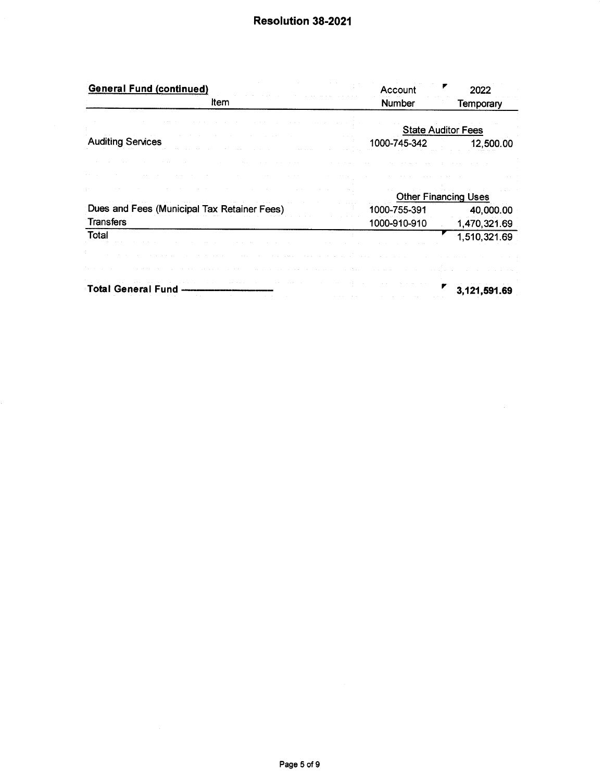| Number<br><b>State Auditor Fees</b><br>1000-745-342 | Temporary<br>12,500.00 |
|-----------------------------------------------------|------------------------|
|                                                     |                        |
|                                                     |                        |
|                                                     |                        |
|                                                     |                        |
|                                                     |                        |
|                                                     |                        |
| <b>Other Financing Uses</b>                         |                        |
| 1000-755-391                                        | 40,000.00              |
| 1000-910-910                                        | 1,470,321.69           |
|                                                     | 1,510,321.69           |
|                                                     |                        |
|                                                     |                        |
|                                                     | 3,121,591.69           |
|                                                     |                        |

 $\mathcal{A}^{\mathcal{A}}$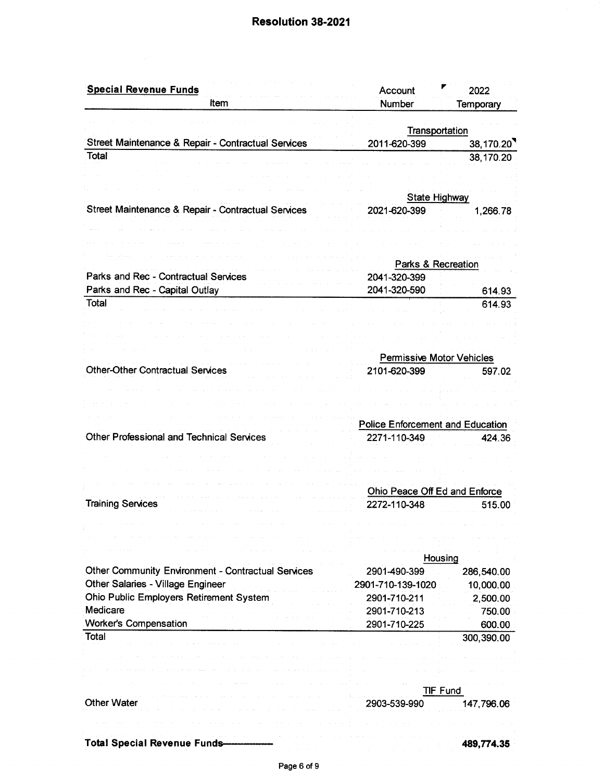### Resolution 38-2021

| <b>Special Revenue Funds</b>                              | ₽<br>Account                            | 2022       |
|-----------------------------------------------------------|-----------------------------------------|------------|
| Item                                                      | Number                                  | Temporary  |
|                                                           |                                         |            |
|                                                           | Transportation                          |            |
| Street Maintenance & Repair - Contractual Services        | 2011-620-399                            | 38,170.20  |
| <b>Total</b>                                              |                                         | 38,170.20  |
|                                                           |                                         |            |
|                                                           |                                         |            |
|                                                           | <b>State Highway</b>                    |            |
| Street Maintenance & Repair - Contractual Services        | 2021-620-399                            | 1,266.78   |
|                                                           |                                         |            |
|                                                           |                                         |            |
|                                                           |                                         |            |
|                                                           | Parks & Recreation                      |            |
| Parks and Rec - Contractual Services                      | 2041-320-399                            |            |
| Parks and Rec - Capital Outlay                            | 2041-320-590                            | 614.93     |
| Total                                                     |                                         | 614.93     |
|                                                           |                                         |            |
|                                                           |                                         |            |
|                                                           |                                         |            |
|                                                           | <b>Permissive Motor Vehicles</b>        |            |
| <b>Other-Other Contractual Services</b>                   | 2101-620-399                            | 597.02     |
|                                                           |                                         |            |
|                                                           |                                         |            |
|                                                           |                                         |            |
|                                                           | <b>Police Enforcement and Education</b> |            |
| Other Professional and Technical Services                 | 2271-110-349                            | 424.36     |
|                                                           |                                         |            |
|                                                           |                                         |            |
|                                                           |                                         |            |
|                                                           | Ohio Peace Off Ed and Enforce           |            |
| <b>Training Services</b>                                  | 2272-110-348                            | 515.00     |
|                                                           |                                         |            |
|                                                           |                                         |            |
|                                                           |                                         |            |
|                                                           | Housing                                 |            |
|                                                           |                                         |            |
| <b>Other Community Environment - Contractual Services</b> | 2901-490-399                            | 286,540.00 |
| <b>Other Salaries - Village Engineer</b>                  | 2901-710-139-1020                       | 10,000.00  |
| Ohio Public Employers Retirement System                   | 2901-710-211                            | 2,500.00   |
| Medicare                                                  | 2901-710-213                            | 750.00     |
| <b>Worker's Compensation</b>                              | 2901-710-225                            | 600.00     |
| Total                                                     |                                         | 300,390.00 |
|                                                           |                                         |            |
|                                                           |                                         |            |
|                                                           |                                         |            |
|                                                           | <b>TIF Fund</b>                         |            |
| <b>Other Water</b>                                        | 2903-539-990                            | 147,796.06 |
|                                                           |                                         |            |
|                                                           |                                         |            |
| <b>Total Special Revenue Funds-</b>                       |                                         | 489,774.35 |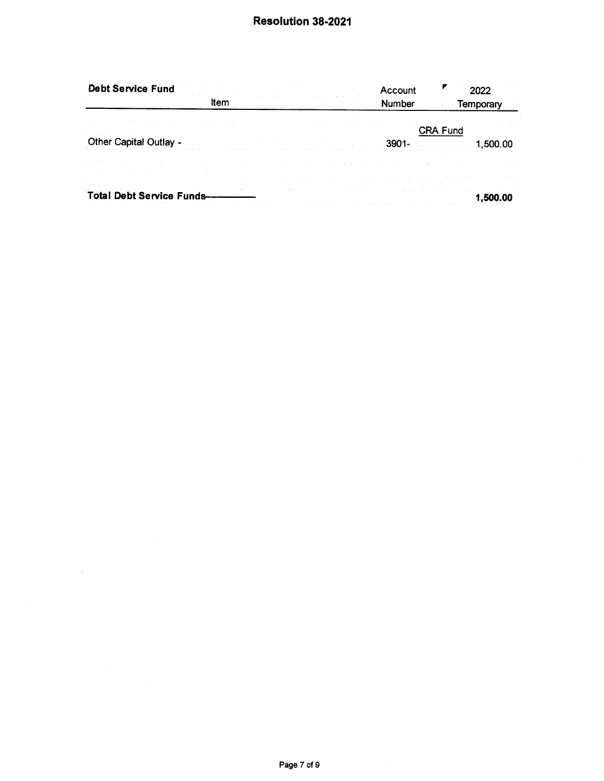| the contract of the contract<br><b>Debt Service Fund</b>                                                                                                                                                                                                                                                                                                                                                                                   | Account                                                    |                                                                                          |
|--------------------------------------------------------------------------------------------------------------------------------------------------------------------------------------------------------------------------------------------------------------------------------------------------------------------------------------------------------------------------------------------------------------------------------------------|------------------------------------------------------------|------------------------------------------------------------------------------------------|
| ltem                                                                                                                                                                                                                                                                                                                                                                                                                                       | <b>Number</b>                                              | Temporary                                                                                |
|                                                                                                                                                                                                                                                                                                                                                                                                                                            | the control of the state of the process of the state       | CRA Fund                                                                                 |
| and the first state of the control of the control of the control of the control of<br>The Committee of<br>Other Capital Outlay -<br>and the second company of the second company of the second company of the second company of the second company of the second company of the second company of the second company of the second company of the second company o<br>The Contractor<br>the control of the control of the<br>The County of | 3901-<br>the contract of the contract of                   | ,500.00                                                                                  |
|                                                                                                                                                                                                                                                                                                                                                                                                                                            | the contract of the contract of<br>the company of the com- | the contract of the con-                                                                 |
| the contract of the con-<br>and the company of the<br>the control of the control of the control of the control of the control of<br>the company of the com-                                                                                                                                                                                                                                                                                |                                                            | contractor of                                                                            |
| the control of the control of the control of the control of<br>Total Debt Service Funds--------<br>the company of the company of the company of the company of the company of the company of the company of the company of the company of the company of the company of the company of the company of the company of the company<br>the control of                                                                                         | the company's company's company's                          | the control of the control of the control of the<br>1.00<br>the company's company's com- |

 $\mathcal{L}^{\text{max}}_{\text{max}}$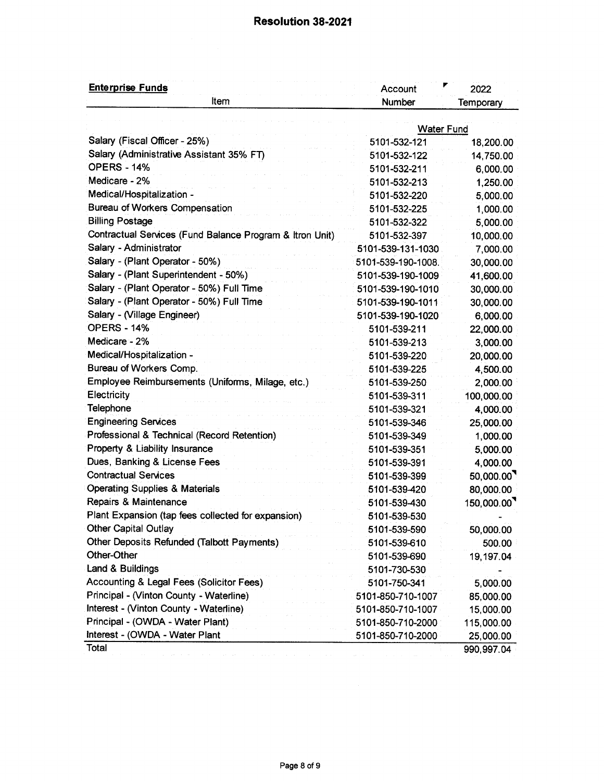## Resolution 38-2021

| <b>Enterprise Funds</b>                                  | ₽<br>Account       | 2022       |
|----------------------------------------------------------|--------------------|------------|
| Item                                                     | Number             | Temporary  |
|                                                          |                    |            |
|                                                          | <b>Water Fund</b>  |            |
| Salary (Fiscal Officer - 25%)                            | 5101-532-121       | 18,200.00  |
| Salary (Administrative Assistant 35% FT)                 | 5101-532-122       | 14,750.00  |
| <b>OPERS - 14%</b>                                       | 5101-532-211       | 6,000.00   |
| Medicare - 2%                                            | 5101-532-213       | 1,250.00   |
| Medical/Hospitalization -                                | 5101-532-220       | 5,000.00   |
| <b>Bureau of Workers Compensation</b>                    | 5101-532-225       | 1,000.00   |
| <b>Billing Postage</b>                                   | 5101-532-322       | 5,000.00   |
| Contractual Services (Fund Balance Program & Itron Unit) | 5101-532-397       | 10,000.00  |
| Salary - Administrator                                   | 5101-539-131-1030  | 7,000.00   |
| Salary - (Plant Operator - 50%)                          | 5101-539-190-1008. | 30,000.00  |
| Salary - (Plant Superintendent - 50%)                    | 5101-539-190-1009  | 41,600.00  |
| Salary - (Plant Operator - 50%) Full Time                | 5101-539-190-1010  | 30,000.00  |
| Salary - (Plant Operator - 50%) Full Time                | 5101-539-190-1011  | 30,000.00  |
| Salary - (Village Engineer)                              | 5101-539-190-1020  | 6,000.00   |
| <b>OPERS - 14%</b>                                       | 5101-539-211       | 22,000.00  |
| Medicare - 2%                                            | 5101-539-213       | 3,000.00   |
| Medical/Hospitalization -                                | 5101-539-220       | 20,000.00  |
| Bureau of Workers Comp.                                  | 5101-539-225       | 4,500.00   |
| Employee Reimbursements (Uniforms, Milage, etc.)         | 5101-539-250       | 2,000.00   |
| Electricity                                              | 5101-539-311       | 100,000.00 |
| Telephone                                                | 5101-539-321       | 4,000.00   |
| <b>Engineering Services</b>                              | 5101-539-346       | 25,000.00  |
| Professional & Technical (Record Retention)              | 5101-539-349       | 1,000.00   |
| Property & Liability Insurance                           | 5101-539-351       | 5,000.00   |
| Dues, Banking & License Fees                             | 5101-539-391       | 4,000.00   |
| <b>Contractual Services</b>                              | 5101-539-399       | 50,000.00  |
| <b>Operating Supplies &amp; Materials</b>                | 5101-539-420       | 80,000.00  |
| Repairs & Maintenance                                    | 5101-539-430       | 150,000.00 |
| Plant Expansion (tap fees collected for expansion)       | 5101-539-530       |            |
| <b>Other Capital Outlay</b>                              | 5101-539-590       | 50,000.00  |
| Other Deposits Refunded (Talbott Payments)               | 5101-539-610       | 500.00     |
| Other-Other                                              | 5101-539-690       | 19, 197.04 |
| Land & Buildings                                         | 5101-730-530       |            |
| Accounting & Legal Fees (Solicitor Fees)                 | 5101-750-341       | 5,000.00   |
| Principal - (Vinton County - Waterline)                  | 5101-850-710-1007  | 85,000.00  |
| Interest - (Vinton County - Waterline)                   | 5101-850-710-1007  | 15,000.00  |
| Principal - (OWDA - Water Plant)                         | 5101-850-710-2000  | 115,000.00 |
| Interest - (OWDA - Water Plant                           | 5101-850-710-2000  | 25,000.00  |
| Total                                                    |                    | 990,997.04 |
|                                                          |                    |            |